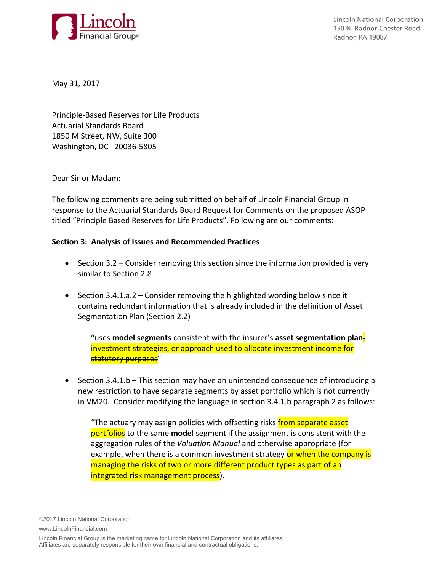

**Lincoln National Corporation** 150 N. Radnor-Chester Road Radnor, PA 19087

May 31, 2017

Principle-Based Reserves for Life Products Actuarial Standards Board 1850 M Street, NW, Suite 300 Washington, DC 20036-5805

Dear Sir or Madam:

The following comments are being submitted on behalf of Lincoln Financial Group in response to the Actuarial Standards Board Request for Comments on the proposed ASOP titled "Principle Based Reserves for Life Products". Following are our comments:

## **Section 3: Analysis of Issues and Recommended Practices**

- Section 3.2 Consider removing this section since the information provided is very similar to Section 2.8
- Section 3.4.1.a.2 Consider removing the highlighted wording below since it contains redundant information that is already included in the definition of Asset Segmentation Plan (Section 2.2)

"uses **model segments** consistent with the insurer's **asset segmentation plan**, investment strategies, or approach used to allocate investment income for <mark>statutory purposes</mark>"

• Section 3.4.1.b – This section may have an unintended consequence of introducing a new restriction to have separate segments by asset portfolio which is not currently in VM20. Consider modifying the language in section 3.4.1.b paragraph 2 as follows:

"The actuary may assign policies with offsetting risks from separate asset portfolios to the same **model** segment if the assignment is consistent with the aggregation rules of the *Valuation Manual* and otherwise appropriate (for example, when there is a common investment strategy or when the company is managing the risks of two or more different product types as part of an integrated risk management process).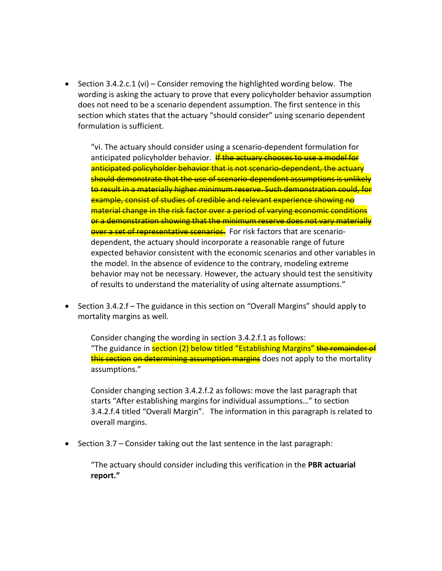• Section 3.4.2.c.1 (vi) – Consider removing the highlighted wording below. The wording is asking the actuary to prove that every policyholder behavior assumption does not need to be a scenario dependent assumption. The first sentence in this section which states that the actuary "should consider" using scenario dependent formulation is sufficient.

"vi. The actuary should consider using a scenario-dependent formulation for anticipated policyholder behavior. If the actuary chooses to use a model for anticipated policyholder behavior that is not scenario-dependent, the actuary should demonstrate that the use of scenario-dependent assumptions is unlikely to result in a materially higher minimum reserve. Such demonstration could, for example, consist of studies of credible and relevant experience showing no material change in the risk factor over a period of varying economic conditions or a demonstration showing that the minimum reserve does not vary materially over a set of representative scenarios. For risk factors that are scenariodependent, the actuary should incorporate a reasonable range of future expected behavior consistent with the economic scenarios and other variables in the model. In the absence of evidence to the contrary, modeling extreme behavior may not be necessary. However, the actuary should test the sensitivity of results to understand the materiality of using alternate assumptions."

• Section 3.4.2.f – The guidance in this section on "Overall Margins" should apply to mortality margins as well.

Consider changing the wording in section 3.4.2.f.1 as follows: "The guidance in **section (2) below titled "Establishing Margins"** the remainder of this section on determining assumption margins does not apply to the mortality assumptions."

Consider changing section 3.4.2.f.2 as follows: move the last paragraph that starts "After establishing margins for individual assumptions…" to section 3.4.2.f.4 titled "Overall Margin". The information in this paragraph is related to overall margins.

• Section 3.7 – Consider taking out the last sentence in the last paragraph:

"The actuary should consider including this verification in the **PBR actuarial report."**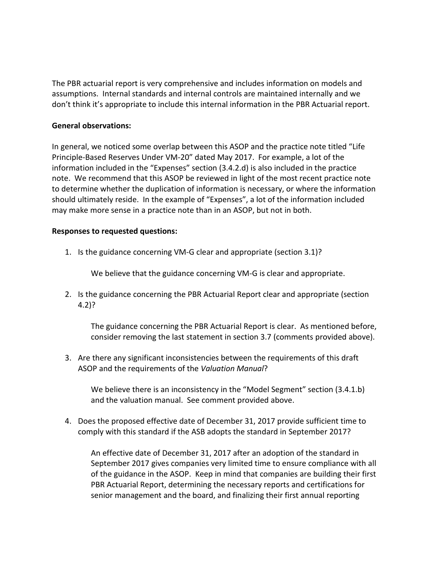The PBR actuarial report is very comprehensive and includes information on models and assumptions. Internal standards and internal controls are maintained internally and we don't think it's appropriate to include this internal information in the PBR Actuarial report.

## **General observations:**

In general, we noticed some overlap between this ASOP and the practice note titled "Life Principle-Based Reserves Under VM-20" dated May 2017. For example, a lot of the information included in the "Expenses" section (3.4.2.d) is also included in the practice note. We recommend that this ASOP be reviewed in light of the most recent practice note to determine whether the duplication of information is necessary, or where the information should ultimately reside. In the example of "Expenses", a lot of the information included may make more sense in a practice note than in an ASOP, but not in both.

## **Responses to requested questions:**

1. Is the guidance concerning VM-G clear and appropriate (section 3.1)?

We believe that the guidance concerning VM-G is clear and appropriate.

2. Is the guidance concerning the PBR Actuarial Report clear and appropriate (section 4.2)?

The guidance concerning the PBR Actuarial Report is clear. As mentioned before, consider removing the last statement in section 3.7 (comments provided above).

3. Are there any significant inconsistencies between the requirements of this draft ASOP and the requirements of the *Valuation Manual*?

We believe there is an inconsistency in the "Model Segment" section (3.4.1.b) and the valuation manual. See comment provided above.

4. Does the proposed effective date of December 31, 2017 provide sufficient time to comply with this standard if the ASB adopts the standard in September 2017?

An effective date of December 31, 2017 after an adoption of the standard in September 2017 gives companies very limited time to ensure compliance with all of the guidance in the ASOP. Keep in mind that companies are building their first PBR Actuarial Report, determining the necessary reports and certifications for senior management and the board, and finalizing their first annual reporting